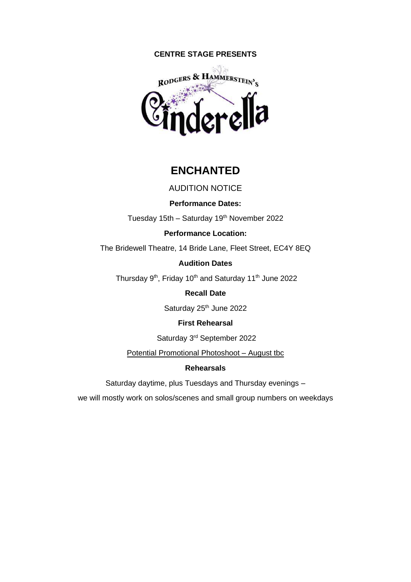# **CENTRE STAGE PRESENTS**



# **ENCHANTED**

# AUDITION NOTICE

# **Performance Dates:**

Tuesday 15th - Saturday 19<sup>th</sup> November 2022

# **Performance Location:**

The Bridewell Theatre, 14 Bride Lane, Fleet Street, EC4Y 8EQ

# **Audition Dates**

Thursday 9<sup>th</sup>, Friday 10<sup>th</sup> and Saturday 11<sup>th</sup> June 2022

# **Recall Date**

Saturday 25<sup>th</sup> June 2022

# **First Rehearsal**

Saturday 3rd September 2022

Potential Promotional Photoshoot – August tbc

# **Rehearsals**

Saturday daytime, plus Tuesdays and Thursday evenings –

we will mostly work on solos/scenes and small group numbers on weekdays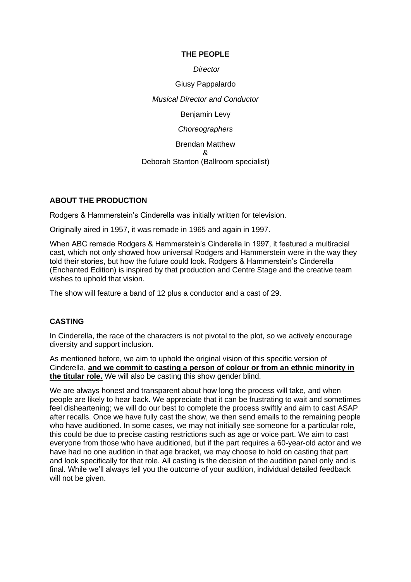# **THE PEOPLE**

*Director*

Giusy Pappalardo *Musical Director and Conductor* Benjamin Levy

*Choreographers*

Brendan Matthew & Deborah Stanton (Ballroom specialist)

# **ABOUT THE PRODUCTION**

Rodgers & Hammerstein's Cinderella was initially written for television.

Originally aired in 1957, it was remade in 1965 and again in 1997.

When ABC remade Rodgers & Hammerstein's Cinderella in 1997, it featured a multiracial cast, which not only showed how universal Rodgers and Hammerstein were in the way they told their stories, but how the future could look. Rodgers & Hammerstein's Cinderella (Enchanted Edition) is inspired by that production and Centre Stage and the creative team wishes to uphold that vision.

The show will feature a band of 12 plus a conductor and a cast of 29.

# **CASTING**

In Cinderella, the race of the characters is not pivotal to the plot, so we actively encourage diversity and support inclusion.

As mentioned before, we aim to uphold the original vision of this specific version of Cinderella, **and we commit to casting a person of colour or from an ethnic minority in the titular role.** We will also be casting this show gender blind.

We are always honest and transparent about how long the process will take, and when people are likely to hear back. We appreciate that it can be frustrating to wait and sometimes feel disheartening; we will do our best to complete the process swiftly and aim to cast ASAP after recalls. Once we have fully cast the show, we then send emails to the remaining people who have auditioned. In some cases, we may not initially see someone for a particular role, this could be due to precise casting restrictions such as age or voice part. We aim to cast everyone from those who have auditioned, but if the part requires a 60-year-old actor and we have had no one audition in that age bracket, we may choose to hold on casting that part and look specifically for that role. All casting is the decision of the audition panel only and is final. While we'll always tell you the outcome of your audition, individual detailed feedback will not be given.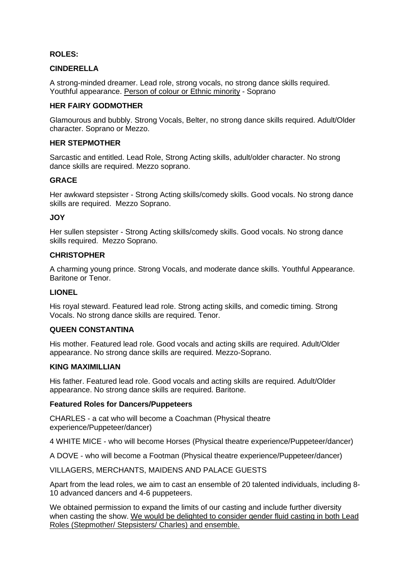### **ROLES:**

# **CINDERELLA**

A strong-minded dreamer. Lead role, strong vocals, no strong dance skills required. Youthful appearance. Person of colour or Ethnic minority - Soprano

# **HER FAIRY GODMOTHER**

Glamourous and bubbly. Strong Vocals, Belter, no strong dance skills required. Adult/Older character. Soprano or Mezzo.

### **HER STEPMOTHER**

Sarcastic and entitled. Lead Role, Strong Acting skills, adult/older character. No strong dance skills are required. Mezzo soprano.

# **GRACE**

Her awkward stepsister - Strong Acting skills/comedy skills. Good vocals. No strong dance skills are required. Mezzo Soprano.

# **JOY**

Her sullen stepsister - Strong Acting skills/comedy skills. Good vocals. No strong dance skills required. Mezzo Soprano.

# **CHRISTOPHER**

A charming young prince. Strong Vocals, and moderate dance skills. Youthful Appearance. Baritone or Tenor.

## **LIONEL**

His royal steward. Featured lead role. Strong acting skills, and comedic timing. Strong Vocals. No strong dance skills are required. Tenor.

# **QUEEN CONSTANTINA**

His mother. Featured lead role. Good vocals and acting skills are required. Adult/Older appearance. No strong dance skills are required. Mezzo-Soprano.

#### **KING MAXIMILLIAN**

His father. Featured lead role. Good vocals and acting skills are required. Adult/Older appearance. No strong dance skills are required. Baritone.

#### **Featured Roles for Dancers/Puppeteers**

CHARLES - a cat who will become a Coachman (Physical theatre experience/Puppeteer/dancer)

4 WHITE MICE - who will become Horses (Physical theatre experience/Puppeteer/dancer)

A DOVE - who will become a Footman (Physical theatre experience/Puppeteer/dancer)

VILLAGERS, MERCHANTS, MAIDENS AND PALACE GUESTS

Apart from the lead roles, we aim to cast an ensemble of 20 talented individuals, including 8- 10 advanced dancers and 4-6 puppeteers.

We obtained permission to expand the limits of our casting and include further diversity when casting the show. We would be delighted to consider gender fluid casting in both Lead Roles (Stepmother/ Stepsisters/ Charles) and ensemble.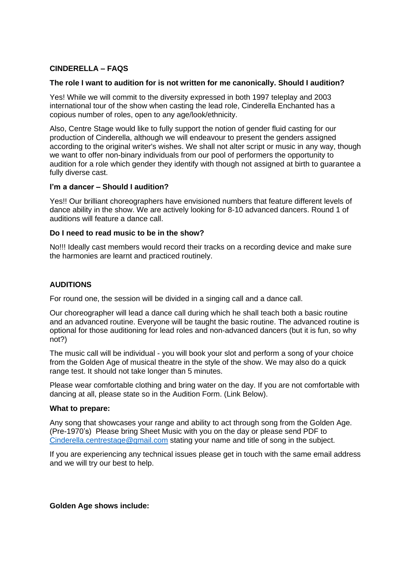# **CINDERELLA – FAQS**

### **The role I want to audition for is not written for me canonically. Should I audition?**

Yes! While we will commit to the diversity expressed in both 1997 teleplay and 2003 international tour of the show when casting the lead role, Cinderella Enchanted has a copious number of roles, open to any age/look/ethnicity.

Also, Centre Stage would like to fully support the notion of gender fluid casting for our production of Cinderella, although we will endeavour to present the genders assigned according to the original writer's wishes. We shall not alter script or music in any way, though we want to offer non-binary individuals from our pool of performers the opportunity to audition for a role which gender they identify with though not assigned at birth to guarantee a fully diverse cast.

# **I'm a dancer – Should I audition?**

Yes!! Our brilliant choreographers have envisioned numbers that feature different levels of dance ability in the show. We are actively looking for 8-10 advanced dancers. Round 1 of auditions will feature a dance call.

# **Do I need to read music to be in the show?**

No!!! Ideally cast members would record their tracks on a recording device and make sure the harmonies are learnt and practiced routinely.

# **AUDITIONS**

For round one, the session will be divided in a singing call and a dance call.

Our choreographer will lead a dance call during which he shall teach both a basic routine and an advanced routine. Everyone will be taught the basic routine. The advanced routine is optional for those auditioning for lead roles and non-advanced dancers (but it is fun, so why not?)

The music call will be individual - you will book your slot and perform a song of your choice from the Golden Age of musical theatre in the style of the show. We may also do a quick range test. It should not take longer than 5 minutes.

Please wear comfortable clothing and bring water on the day. If you are not comfortable with dancing at all, please state so in the Audition Form. (Link Below).

### **What to prepare:**

Any song that showcases your range and ability to act through song from the Golden Age. (Pre-1970's) Please bring Sheet Music with you on the day or please send PDF to [Cinderella.centrestage@gmail.com](mailto:Cinderella.centrestage@gmail.com) stating your name and title of song in the subject.

If you are experiencing any technical issues please get in touch with the same email address and we will try our best to help.

# **Golden Age shows include:**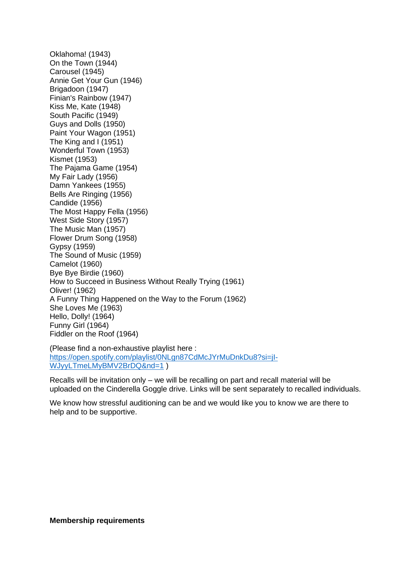Oklahoma! (1943) On the Town (1944) Carousel (1945) Annie Get Your Gun (1946) Brigadoon (1947) Finian's Rainbow (1947) Kiss Me, Kate (1948) South Pacific (1949) Guys and Dolls (1950) Paint Your Wagon (1951) The King and I (1951) Wonderful Town (1953) Kismet (1953) The Pajama Game (1954) My Fair Lady (1956) Damn Yankees (1955) Bells Are Ringing (1956) Candide (1956) The Most Happy Fella (1956) West Side Story (1957) The Music Man (1957) Flower Drum Song (1958) Gypsy (1959) The Sound of Music (1959) Camelot (1960) Bye Bye Birdie (1960) How to Succeed in Business Without Really Trying (1961) Oliver! (1962) A Funny Thing Happened on the Way to the Forum (1962) She Loves Me (1963) Hello, Dolly! (1964) Funny Girl (1964) Fiddler on the Roof (1964)

(Please find a non-exhaustive playlist here : [https://open.spotify.com/playlist/0NLgn87CdMcJYrMuDnkDu8?si=jI-](https://open.spotify.com/playlist/0NLgn87CdMcJYrMuDnkDu8?si=jI-WJyyLTmeLMyBMV2BrDQ&nd=1)[WJyyLTmeLMyBMV2BrDQ&nd=1](https://open.spotify.com/playlist/0NLgn87CdMcJYrMuDnkDu8?si=jI-WJyyLTmeLMyBMV2BrDQ&nd=1) )

Recalls will be invitation only – we will be recalling on part and recall material will be uploaded on the Cinderella Goggle drive. Links will be sent separately to recalled individuals.

We know how stressful auditioning can be and we would like you to know we are there to help and to be supportive.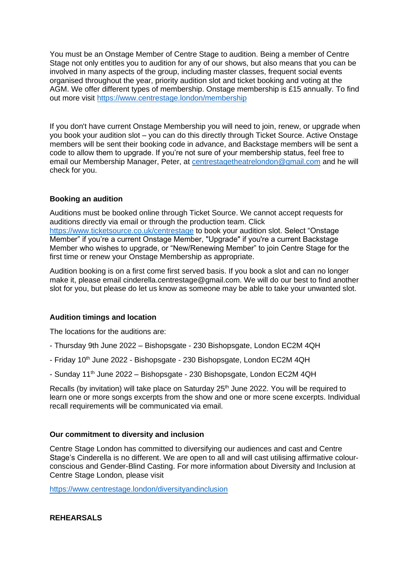You must be an Onstage Member of Centre Stage to audition. Being a member of Centre Stage not only entitles you to audition for any of our shows, but also means that you can be involved in many aspects of the group, including master classes, frequent social events organised throughout the year, priority audition slot and ticket booking and voting at the AGM. We offer different types of membership. Onstage membership is £15 annually. To find out more visit <https://www.centrestage.london/membership>

If you don't have current Onstage Membership you will need to join, renew, or upgrade when you book your audition slot – you can do this directly through Ticket Source. Active Onstage members will be sent their booking code in advance, and Backstage members will be sent a code to allow them to upgrade. If you're not sure of your membership status, feel free to email our Membership Manager, Peter, at [centrestagetheatrelondon@gmail.com](mailto:centrestagetheatrelondon@gmail.com?subject=Cinderella%20Audition%20Enquiry) and he will check for you.

# **Booking an audition**

Auditions must be booked online through Ticket Source. We cannot accept requests for auditions directly via email or through the production team. Click <https://www.ticketsource.co.uk/centrestage> to book your audition slot. Select "Onstage Member" if you're a current Onstage Member, "Upgrade" if you're a current Backstage Member who wishes to upgrade, or "New/Renewing Member" to join Centre Stage for the first time or renew your Onstage Membership as appropriate.

Audition booking is on a first come first served basis. If you book a slot and can no longer make it, please email cinderella.centrestage@gmail.com. We will do our best to find another slot for you, but please do let us know as someone may be able to take your unwanted slot.

# **Audition timings and location**

The locations for the auditions are:

- Thursday 9th June 2022 Bishopsgate 230 Bishopsgate, London EC2M 4QH
- Friday 10<sup>th</sup> June 2022 Bishopsgate 230 Bishopsgate, London EC2M 4QH
- Sunday 11<sup>th</sup> June 2022 Bishopsgate 230 Bishopsgate, London EC2M 4QH

Recalls (by invitation) will take place on Saturday 25<sup>th</sup> June 2022. You will be required to learn one or more songs excerpts from the show and one or more scene excerpts. Individual recall requirements will be communicated via email.

# **Our commitment to diversity and inclusion**

Centre Stage London has committed to diversifying our audiences and cast and Centre Stage's Cinderella is no different. We are open to all and will cast utilising affirmative colourconscious and Gender-Blind Casting. For more information about Diversity and Inclusion at Centre Stage London, please visit

<https://www.centrestage.london/diversityandinclusion>

**REHEARSALS**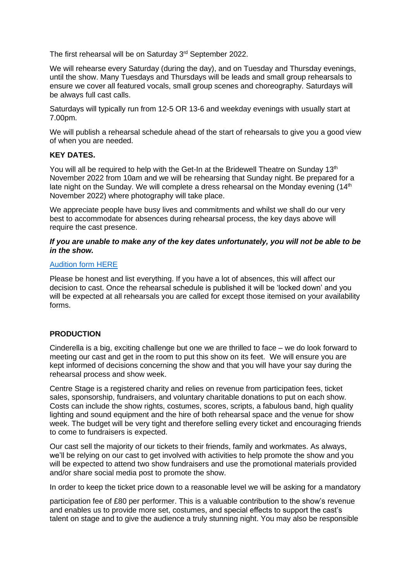The first rehearsal will be on Saturday 3<sup>rd</sup> September 2022.

We will rehearse every Saturday (during the day), and on Tuesday and Thursday evenings, until the show. Many Tuesdays and Thursdays will be leads and small group rehearsals to ensure we cover all featured vocals, small group scenes and choreography. Saturdays will be always full cast calls.

Saturdays will typically run from 12-5 OR 13-6 and weekday evenings with usually start at 7.00pm.

We will publish a rehearsal schedule ahead of the start of rehearsals to give you a good view of when you are needed.

# **KEY DATES.**

You will all be required to help with the Get-In at the Bridewell Theatre on Sunday 13<sup>th</sup> November 2022 from 10am and we will be rehearsing that Sunday night. Be prepared for a late night on the Sunday. We will complete a dress rehearsal on the Monday evening (14<sup>th</sup>) November 2022) where photography will take place.

We appreciate people have busy lives and commitments and whilst we shall do our very best to accommodate for absences during rehearsal process, the key days above will require the cast presence.

### *If you are unable to make any of the key dates unfortunately, you will not be able to be in the show.*

# [Audition form HERE](https://docs.google.com/forms/d/152YXl4SaJtvqZXisFdRAycQCkSnriwxrgh7qV3-bWro/edit)

Please be honest and list everything. If you have a lot of absences, this will affect our decision to cast. Once the rehearsal schedule is published it will be 'locked down' and you will be expected at all rehearsals you are called for except those itemised on your availability forms.

# **PRODUCTION**

Cinderella is a big, exciting challenge but one we are thrilled to face – we do look forward to meeting our cast and get in the room to put this show on its feet. We will ensure you are kept informed of decisions concerning the show and that you will have your say during the rehearsal process and show week.

Centre Stage is a registered charity and relies on revenue from participation fees, ticket sales, sponsorship, fundraisers, and voluntary charitable donations to put on each show. Costs can include the show rights, costumes, scores, scripts, a fabulous band, high quality lighting and sound equipment and the hire of both rehearsal space and the venue for show week. The budget will be very tight and therefore selling every ticket and encouraging friends to come to fundraisers is expected.

Our cast sell the majority of our tickets to their friends, family and workmates. As always, we'll be relying on our cast to get involved with activities to help promote the show and you will be expected to attend two show fundraisers and use the promotional materials provided and/or share social media post to promote the show.

In order to keep the ticket price down to a reasonable level we will be asking for a mandatory

participation fee of £80 per performer. This is a valuable contribution to the show's revenue and enables us to provide more set, costumes, and special effects to support the cast's talent on stage and to give the audience a truly stunning night. You may also be responsible